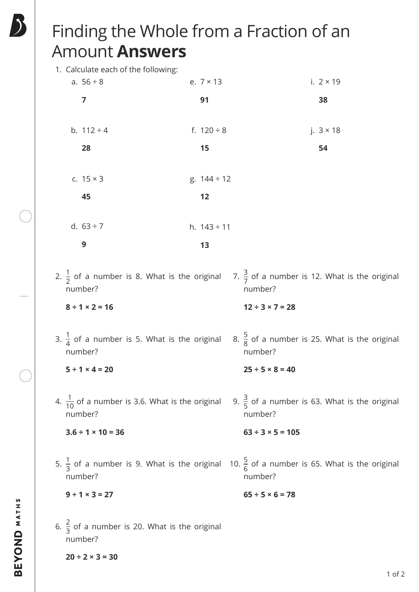## Finding the Whole from a Fraction of an Amount **Answers**

| 1. Calculate each of the following:                                   |                  |                                                                      |
|-----------------------------------------------------------------------|------------------|----------------------------------------------------------------------|
| a. $56 \div 8$                                                        | e. $7 \times 13$ | i. $2 \times 19$                                                     |
| 7                                                                     | 91               | 38                                                                   |
| b. $112 \div 4$                                                       | f. $120 \div 8$  | j. $3 \times 18$                                                     |
| 28                                                                    | 15               | 54                                                                   |
| c. $15 \times 3$                                                      | g. $144 \div 12$ |                                                                      |
| 45                                                                    | 12               |                                                                      |
| d. $63 \div 7$                                                        | h. $143 \div 11$ |                                                                      |
| 9                                                                     | 13               |                                                                      |
| 2. $\frac{1}{2}$ of a number is 8. What is the original<br>number?    |                  | 7. $\frac{3}{7}$ of a number is 12. What is the original<br>number?  |
| $8 \div 1 \times 2 = 16$                                              |                  | $12 \div 3 \times 7 = 28$                                            |
| 3. $\frac{1}{4}$ of a number is 5. What is the original<br>number?    |                  | 8. $\frac{5}{8}$ of a number is 25. What is the original<br>number?  |
| $5 \div 1 \times 4 = 20$                                              |                  | $25 \div 5 \times 8 = 40$                                            |
| 4. $\frac{1}{10}$ of a number is 3.6. What is the original<br>number? |                  | 9. $\frac{3}{5}$ of a number is 63. What is the original<br>number?  |
| $3.6 \div 1 \times 10 = 36$                                           |                  | $63 \div 3 \times 5 = 105$                                           |
| 5. $\frac{1}{3}$ of a number is 9. What is the original<br>number?    |                  | 10. $\frac{5}{6}$ of a number is 65. What is the original<br>number? |
| $9 \div 1 \times 3 = 27$                                              |                  | $65 \div 5 \times 6 = 78$                                            |
| 6. $\frac{2}{3}$ of a number is 20. What is the original<br>number?   |                  |                                                                      |

**20 ÷ 2 × 3 = 30**

5